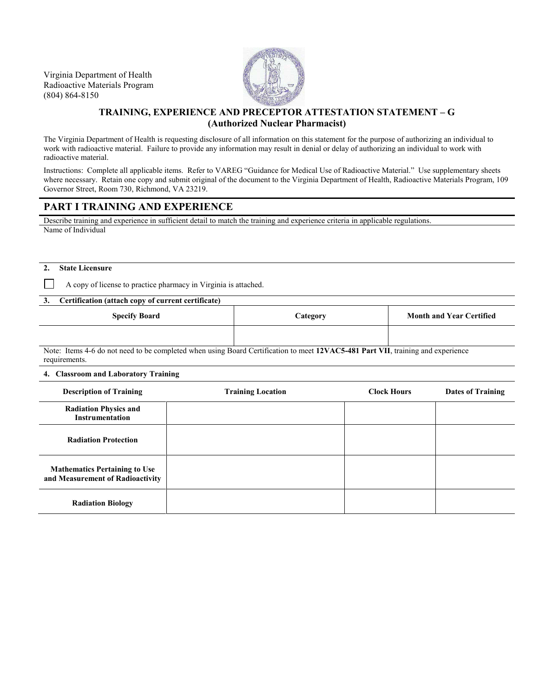Virginia Department of Health Radioactive Materials Program (804) 864-8150



# **TRAINING, EXPERIENCE AND PRECEPTOR ATTESTATION STATEMENT – G (Authorized Nuclear Pharmacist)**

The Virginia Department of Health is requesting disclosure of all information on this statement for the purpose of authorizing an individual to work with radioactive material. Failure to provide any information may result in denial or delay of authorizing an individual to work with radioactive material.

Instructions: Complete all applicable items. Refer to VAREG "Guidance for Medical Use of Radioactive Material." Use supplementary sheets where necessary. Retain one copy and submit original of the document to the Virginia Department of Health, Radioactive Materials Program, 109 Governor Street, Room 730, Richmond, VA 23219.

# **PART I TRAINING AND EXPERIENCE**

Describe training and experience in sufficient detail to match the training and experience criteria in applicable regulations. Name of Individual

### **2. State Licensure**

A copy of license to practice pharmacy in Virginia is attached.

### **3. Certification (attach copy of current certificate)**

| <b>Specify Board</b> | <b><i>Category</i></b> | <b>Month and Year Certified</b> |
|----------------------|------------------------|---------------------------------|
|                      |                        |                                 |

Note: Items 4-6 do not need to be completed when using Board Certification to meet **12VAC5-481 Part VII**, training and experience requirements.

### **4. Classroom and Laboratory Training**

| <b>Description of Training</b>                                           | <b>Training Location</b> | <b>Clock Hours</b> | <b>Dates of Training</b> |
|--------------------------------------------------------------------------|--------------------------|--------------------|--------------------------|
| <b>Radiation Physics and</b><br>Instrumentation                          |                          |                    |                          |
| <b>Radiation Protection</b>                                              |                          |                    |                          |
| <b>Mathematics Pertaining to Use</b><br>and Measurement of Radioactivity |                          |                    |                          |
| <b>Radiation Biology</b>                                                 |                          |                    |                          |